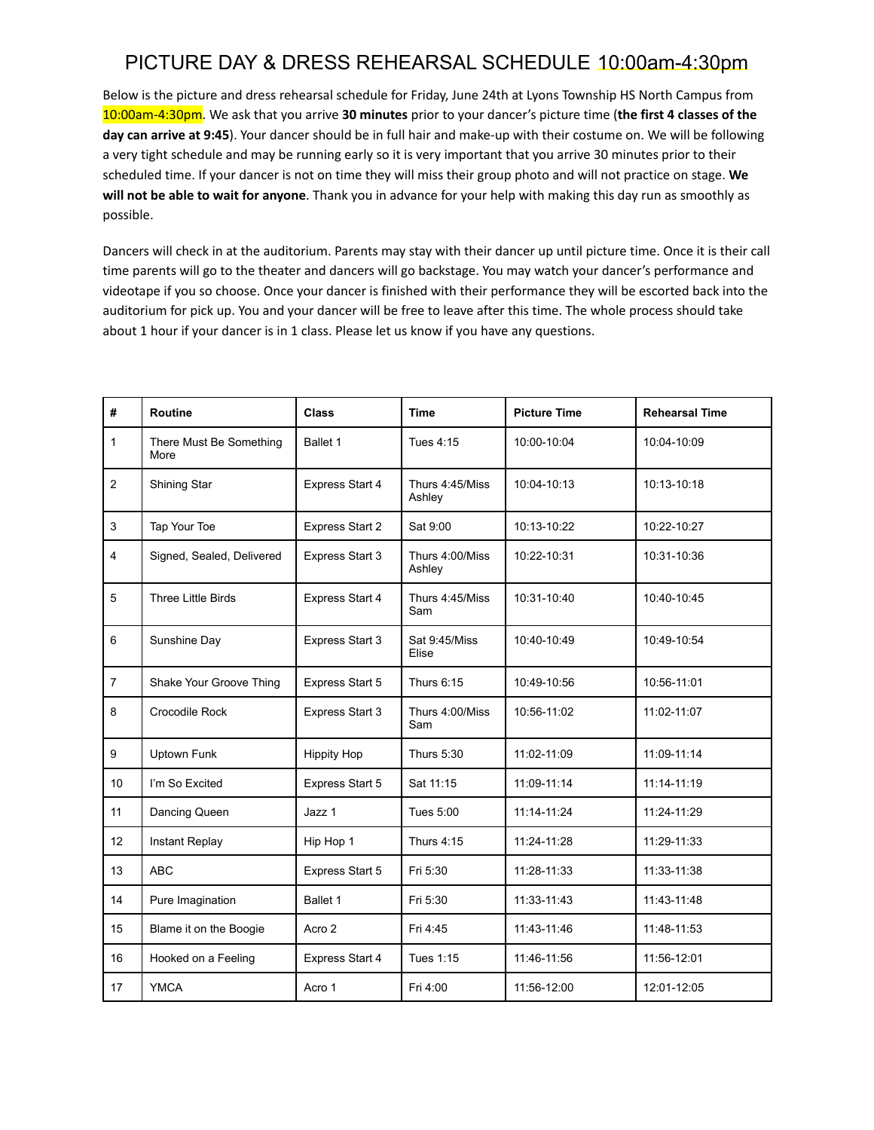Below is the picture and dress rehearsal schedule for Friday, June 24th at Lyons Township HS North Campus from 10:00am-4:30pm. We ask that you arrive **30 minutes** prior to your dancer's picture time (**the first 4 classes of the day can arrive at 9:45**). Your dancer should be in full hair and make-up with their costume on. We will be following a very tight schedule and may be running early so it is very important that you arrive 30 minutes prior to their scheduled time. If your dancer is not on time they will miss their group photo and will not practice on stage. **We will not be able to wait for anyone**. Thank you in advance for your help with making this day run as smoothly as possible.

| #              | <b>Routine</b>                  | <b>Class</b>       | <b>Time</b>               | <b>Picture Time</b> | <b>Rehearsal Time</b> |
|----------------|---------------------------------|--------------------|---------------------------|---------------------|-----------------------|
| $\mathbf{1}$   | There Must Be Something<br>More | Ballet 1           | Tues 4:15                 | 10:00-10:04         | 10:04-10:09           |
| $\overline{2}$ | Shining Star                    | Express Start 4    | Thurs 4:45/Miss<br>Ashley | 10:04-10:13         | 10:13-10:18           |
| $\mathsf 3$    | Tap Your Toe                    | Express Start 2    | Sat 9:00                  | 10:13-10:22         | 10:22-10:27           |
| $\overline{4}$ | Signed, Sealed, Delivered       | Express Start 3    | Thurs 4:00/Miss<br>Ashley | 10:22-10:31         | 10:31-10:36           |
| 5              | <b>Three Little Birds</b>       | Express Start 4    | Thurs 4:45/Miss<br>Sam    | 10:31-10:40         | 10:40-10:45           |
| 6              | Sunshine Day                    | Express Start 3    | Sat 9:45/Miss<br>Elise    | 10:40-10:49         | 10:49-10:54           |
| $\overline{7}$ | Shake Your Groove Thing         | Express Start 5    | Thurs 6:15                | 10:49-10:56         | 10:56-11:01           |
| 8              | Crocodile Rock                  | Express Start 3    | Thurs 4:00/Miss<br>Sam    | 10:56-11:02         | 11:02-11:07           |
| 9              | <b>Uptown Funk</b>              | <b>Hippity Hop</b> | Thurs 5:30                | 11:02-11:09         | 11:09-11:14           |
| 10             | I'm So Excited                  | Express Start 5    | Sat 11:15                 | 11:09-11:14         | 11:14-11:19           |
| 11             | Dancing Queen                   | Jazz 1             | Tues 5:00                 | 11:14-11:24         | 11:24-11:29           |
| 12             | Instant Replay                  | Hip Hop 1          | Thurs 4:15                | 11:24-11:28         | 11:29-11:33           |
| 13             | <b>ABC</b>                      | Express Start 5    | Fri 5:30                  | 11:28-11:33         | 11:33-11:38           |
| 14             | Pure Imagination                | Ballet 1           | Fri 5:30                  | 11:33-11:43         | 11:43-11:48           |
| 15             | Blame it on the Boogie          | Acro 2             | Fri 4:45                  | 11:43-11:46         | 11:48-11:53           |
| 16             | Hooked on a Feeling             | Express Start 4    | Tues 1:15                 | 11:46-11:56         | 11:56-12:01           |
| 17             | <b>YMCA</b>                     | Acro 1             | Fri 4:00                  | 11:56-12:00         | 12:01-12:05           |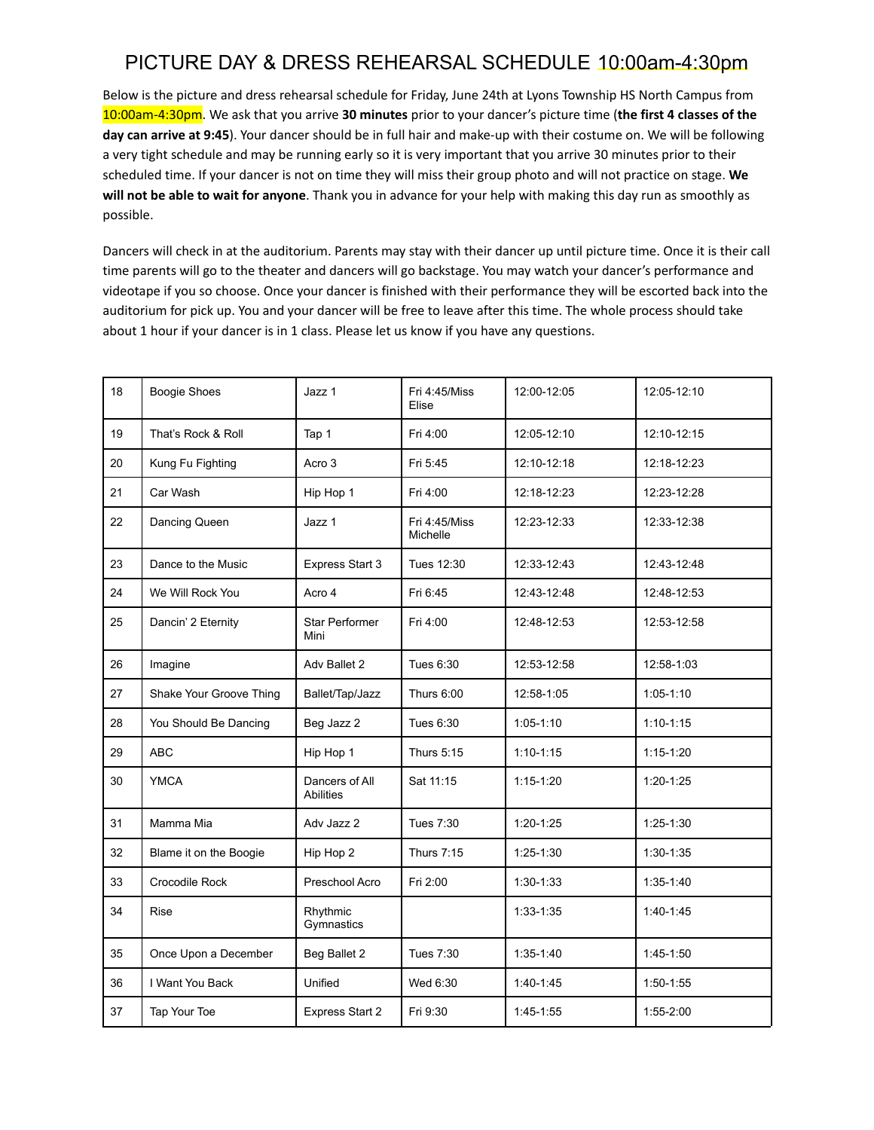Below is the picture and dress rehearsal schedule for Friday, June 24th at Lyons Township HS North Campus from 10:00am-4:30pm. We ask that you arrive **30 minutes** prior to your dancer's picture time (**the first 4 classes of the day can arrive at 9:45**). Your dancer should be in full hair and make-up with their costume on. We will be following a very tight schedule and may be running early so it is very important that you arrive 30 minutes prior to their scheduled time. If your dancer is not on time they will miss their group photo and will not practice on stage. **We will not be able to wait for anyone**. Thank you in advance for your help with making this day run as smoothly as possible.

| 18 | <b>Boogie Shoes</b>     | Jazz 1                             | Fri 4:45/Miss<br>Elise    | 12:00-12:05   | 12:05-12:10 |
|----|-------------------------|------------------------------------|---------------------------|---------------|-------------|
| 19 | That's Rock & Roll      | Tap 1                              | Fri 4:00                  | 12:05-12:10   | 12:10-12:15 |
| 20 | Kung Fu Fighting        | Acro 3                             | Fri 5:45                  | 12:10-12:18   | 12:18-12:23 |
| 21 | Car Wash                | Hip Hop 1                          | Fri 4:00                  | 12:18-12:23   | 12:23-12:28 |
| 22 | Dancing Queen           | Jazz 1                             | Fri 4:45/Miss<br>Michelle | 12:23-12:33   | 12:33-12:38 |
| 23 | Dance to the Music      | Express Start 3                    | Tues 12:30                | 12:33-12:43   | 12:43-12:48 |
| 24 | We Will Rock You        | Acro 4                             | Fri 6:45                  | 12:43-12:48   | 12:48-12:53 |
| 25 | Dancin' 2 Eternity      | <b>Star Performer</b><br>Mini      | Fri 4:00                  | 12:48-12:53   | 12:53-12:58 |
| 26 | Imagine                 | Adv Ballet 2                       | Tues 6:30                 | 12:53-12:58   | 12:58-1:03  |
| 27 | Shake Your Groove Thing | Ballet/Tap/Jazz                    | <b>Thurs 6:00</b>         | 12:58-1:05    | $1:05-1:10$ |
| 28 | You Should Be Dancing   | Beg Jazz 2                         | Tues 6:30                 | $1:05 - 1:10$ | $1:10-1:15$ |
| 29 | <b>ABC</b>              | Hip Hop 1                          | <b>Thurs 5:15</b>         | $1:10 - 1:15$ | $1:15-1:20$ |
| 30 | <b>YMCA</b>             | Dancers of All<br><b>Abilities</b> | Sat 11:15                 | $1:15-1:20$   | $1:20-1:25$ |
| 31 | Mamma Mia               | Adv Jazz 2                         | Tues 7:30                 | $1:20-1:25$   | $1:25-1:30$ |
| 32 | Blame it on the Boogie  | Hip Hop 2                          | <b>Thurs 7:15</b>         | $1:25-1:30$   | $1:30-1:35$ |
| 33 | Crocodile Rock          | Preschool Acro                     | Fri 2:00                  | $1:30-1:33$   | $1:35-1:40$ |
| 34 | <b>Rise</b>             | Rhythmic<br>Gymnastics             |                           | $1:33 - 1:35$ | $1:40-1:45$ |
| 35 | Once Upon a December    | Beg Ballet 2                       | Tues 7:30                 | $1:35-1:40$   | $1:45-1:50$ |
| 36 | I Want You Back         | Unified                            | Wed 6:30                  | $1:40-1:45$   | $1:50-1:55$ |
| 37 | Tap Your Toe            | Express Start 2                    | Fri 9:30                  | $1:45-1:55$   | 1:55-2:00   |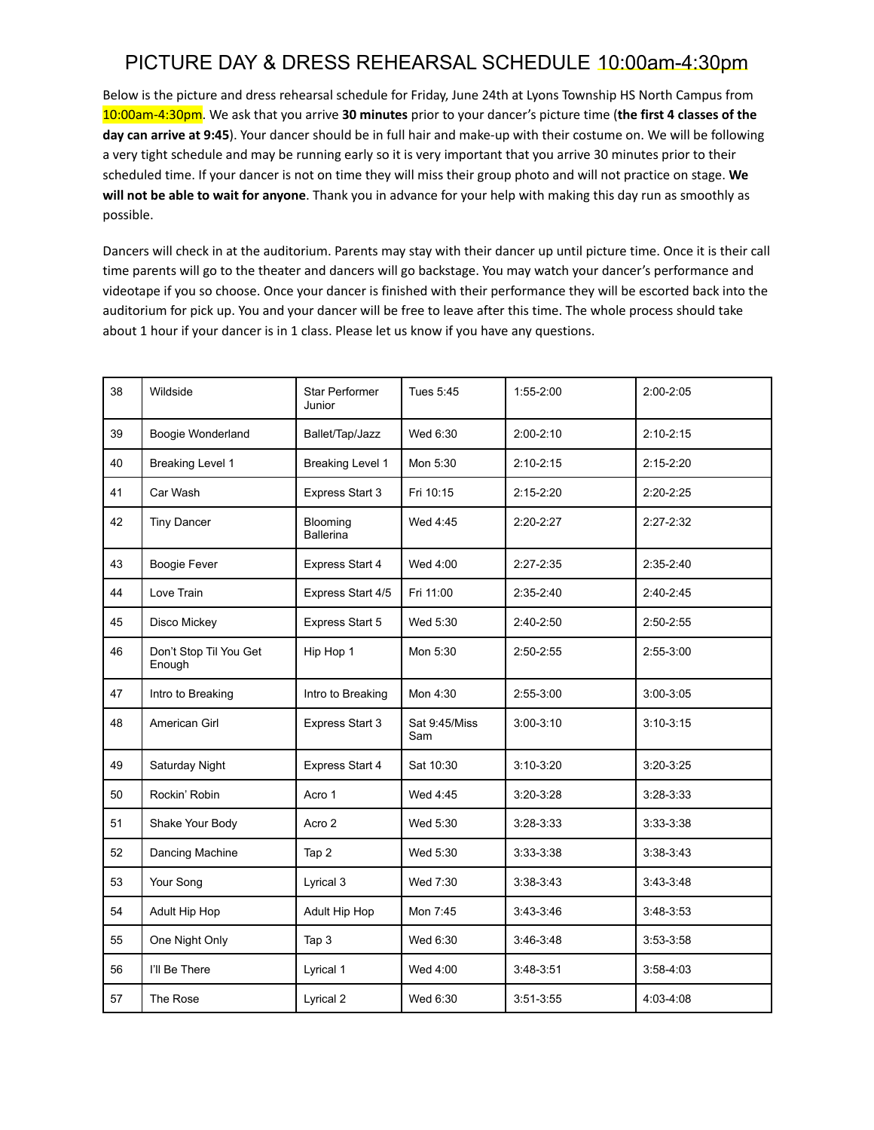Below is the picture and dress rehearsal schedule for Friday, June 24th at Lyons Township HS North Campus from 10:00am-4:30pm. We ask that you arrive **30 minutes** prior to your dancer's picture time (**the first 4 classes of the day can arrive at 9:45**). Your dancer should be in full hair and make-up with their costume on. We will be following a very tight schedule and may be running early so it is very important that you arrive 30 minutes prior to their scheduled time. If your dancer is not on time they will miss their group photo and will not practice on stage. **We will not be able to wait for anyone**. Thank you in advance for your help with making this day run as smoothly as possible.

| 38 | Wildside                         | <b>Star Performer</b><br>Junior | Tues 5:45            | 1:55-2:00     | $2:00 - 2:05$ |
|----|----------------------------------|---------------------------------|----------------------|---------------|---------------|
| 39 | Boogie Wonderland                | Ballet/Tap/Jazz                 | Wed 6:30             | $2:00 - 2:10$ | $2:10-2:15$   |
| 40 | Breaking Level 1                 | <b>Breaking Level 1</b>         | Mon 5:30             | $2:10-2:15$   | $2:15-2:20$   |
| 41 | Car Wash                         | Express Start 3                 | Fri 10:15            | $2:15-2:20$   | $2:20-2:25$   |
| 42 | <b>Tiny Dancer</b>               | Blooming<br><b>Ballerina</b>    | Wed 4:45             | $2:20-2:27$   | $2:27-2:32$   |
| 43 | <b>Boogie Fever</b>              | Express Start 4                 | Wed 4:00             | $2:27 - 2:35$ | $2:35 - 2:40$ |
| 44 | Love Train                       | Express Start 4/5               | Fri 11:00            | $2:35-2:40$   | $2:40-2:45$   |
| 45 | Disco Mickey                     | Express Start 5                 | Wed 5:30             | 2:40-2:50     | $2:50-2:55$   |
| 46 | Don't Stop Til You Get<br>Enough | Hip Hop 1                       | Mon 5:30             | $2:50-2:55$   | $2:55-3:00$   |
| 47 | Intro to Breaking                | Intro to Breaking               | Mon 4:30             | $2:55-3:00$   | $3:00 - 3:05$ |
| 48 | American Girl                    | Express Start 3                 | Sat 9:45/Miss<br>Sam | $3:00 - 3:10$ | $3:10-3:15$   |
| 49 | Saturday Night                   | Express Start 4                 | Sat 10:30            | $3:10-3:20$   | $3:20-3:25$   |
| 50 | Rockin' Robin                    | Acro 1                          | Wed 4:45             | $3:20-3:28$   | $3:28-3:33$   |
| 51 | Shake Your Body                  | Acro 2                          | Wed 5:30             | $3:28-3:33$   | $3:33-3:38$   |
| 52 | Dancing Machine                  | Tap 2                           | Wed 5:30             | $3:33-3:38$   | $3:38-3:43$   |
| 53 | Your Song                        | Lyrical 3                       | Wed 7:30             | $3:38-3:43$   | $3:43-3:48$   |
| 54 | Adult Hip Hop                    | Adult Hip Hop                   | Mon 7:45             | $3:43-3:46$   | $3:48-3:53$   |
| 55 | One Night Only                   | Tap 3                           | Wed 6:30             | $3:46-3:48$   | $3:53-3:58$   |
| 56 | I'll Be There                    | Lyrical 1                       | Wed 4:00             | $3:48-3:51$   | $3:58 - 4:03$ |
| 57 | The Rose                         | Lyrical 2                       | Wed 6:30             | $3:51 - 3:55$ | 4:03-4:08     |